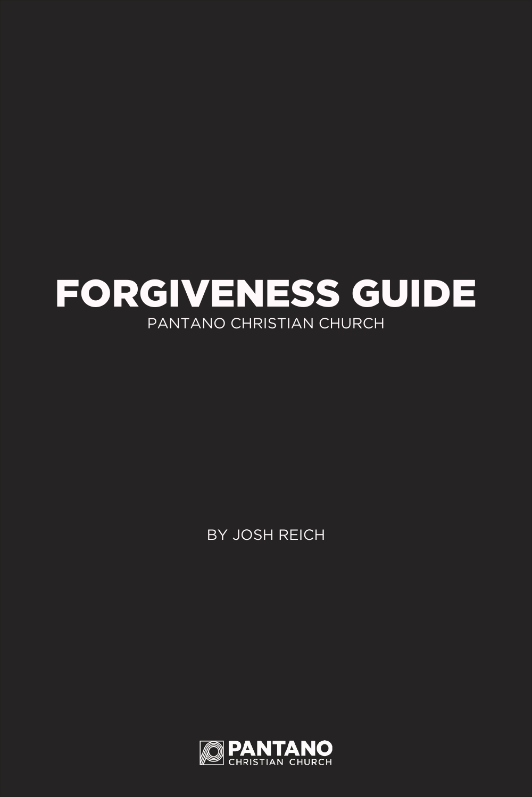### FORGIVENESS GUIDE PANTANO CHRISTIAN CHURCH

BY JOSH REICH

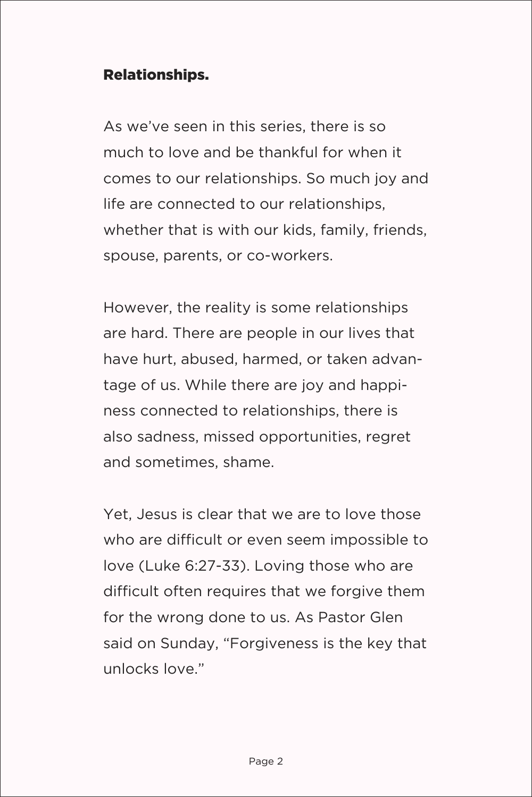#### Relationships.

As we've seen in this series, there is so much to love and be thankful for when it comes to our relationships. So much joy and life are connected to our relationships, whether that is with our kids, family, friends, spouse, parents, or co-workers.

However, the reality is some relationships are hard. There are people in our lives that have hurt, abused, harmed, or taken advantage of us. While there are joy and happiness connected to relationships, there is also sadness, missed opportunities, regret and sometimes, shame.

Yet, Jesus is clear that we are to love those who are difficult or even seem impossible to love (Luke 6:27-33). Loving those who are difficult often requires that we forgive them for the wrong done to us. As Pastor Glen said on Sunday, "Forgiveness is the key that unlocks love."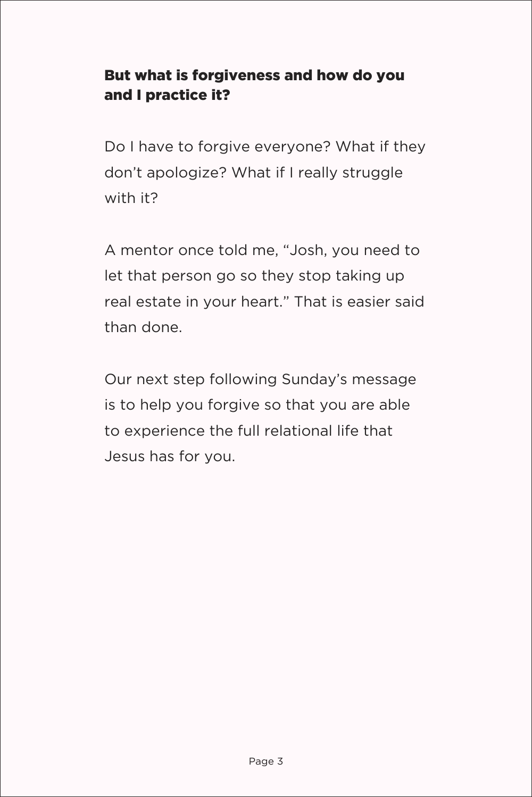#### But what is forgiveness and how do you and I practice it?

Do I have to forgive everyone? What if they don't apologize? What if I really struggle with it?

A mentor once told me, "Josh, you need to let that person go so they stop taking up real estate in your heart." That is easier said than done.

Our next step following Sunday's message is to help you forgive so that you are able to experience the full relational life that Jesus has for you.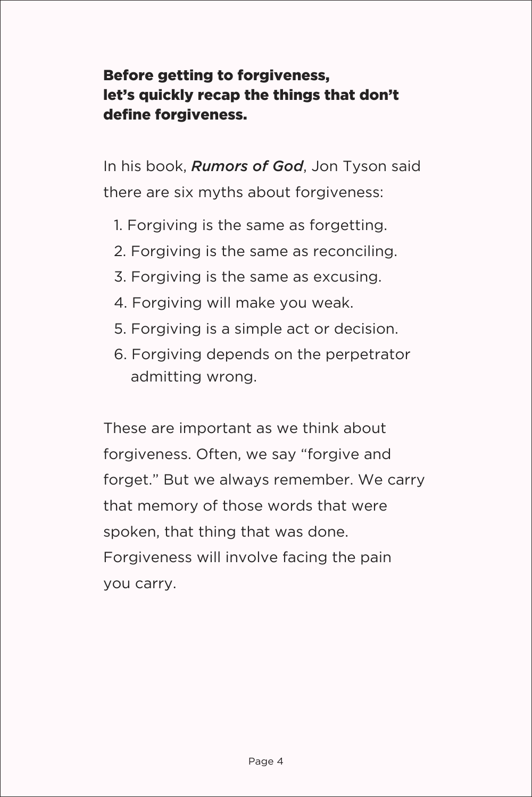#### Before getting to forgiveness, let's quickly recap the things that don't define forgiveness.

In his book, *Rumors of God*, Jon Tyson said there are six myths about forgiveness:

- 1. Forgiving is the same as forgetting.
- 2. Forgiving is the same as reconciling.
- 3. Forgiving is the same as excusing.
- 4. Forgiving will make you weak.
- 5. Forgiving is a simple act or decision.
- 6. Forgiving depends on the perpetrator admitting wrong.

These are important as we think about forgiveness. Often, we say "forgive and forget." But we always remember. We carry that memory of those words that were spoken, that thing that was done. Forgiveness will involve facing the pain you carry.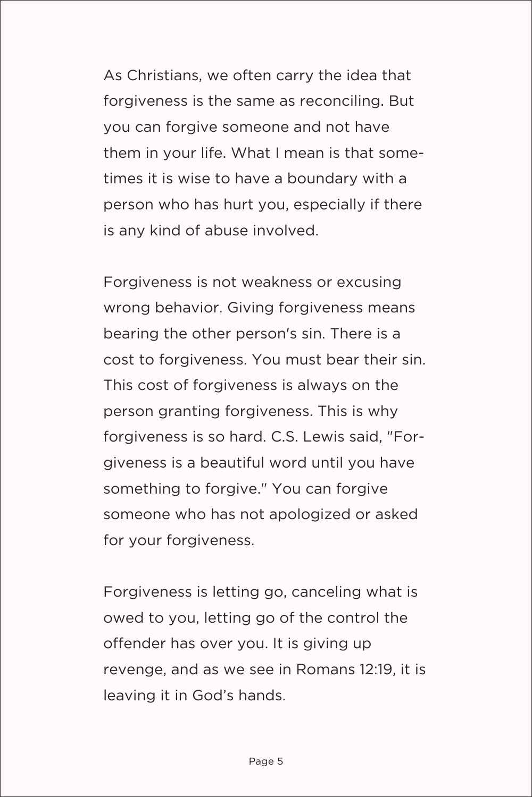As Christians, we often carry the idea that forgiveness is the same as reconciling. But you can forgive someone and not have them in your life. What I mean is that sometimes it is wise to have a boundary with a person who has hurt you, especially if there is any kind of abuse involved.

Forgiveness is not weakness or excusing wrong behavior. Giving forgiveness means bearing the other person's sin. There is a cost to forgiveness. You must bear their sin. This cost of forgiveness is always on the person granting forgiveness. This is why forgiveness is so hard. C.S. Lewis said, "Forgiveness is a beautiful word until you have something to forgive." You can forgive someone who has not apologized or asked for your forgiveness.

Forgiveness is letting go, canceling what is owed to you, letting go of the control the offender has over you. It is giving up revenge, and as we see in Romans 12:19, it is leaving it in God's hands.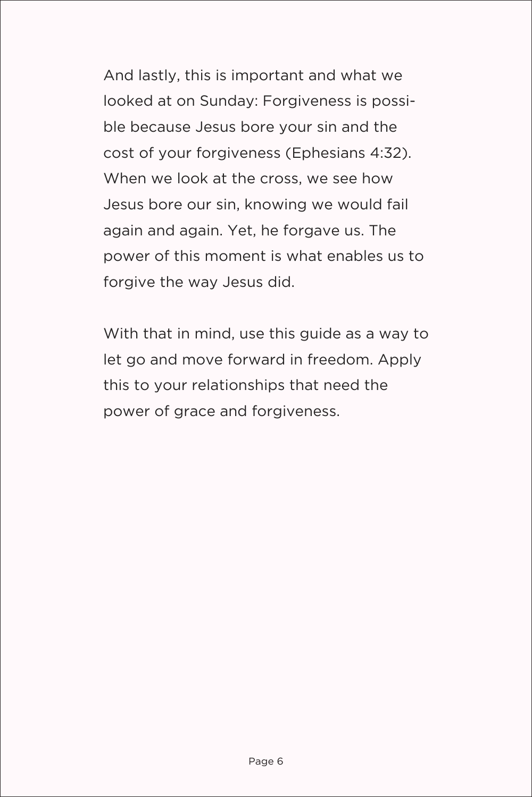And lastly, this is important and what we looked at on Sunday: Forgiveness is possible because Jesus bore your sin and the cost of your forgiveness (Ephesians 4:32). When we look at the cross, we see how Jesus bore our sin, knowing we would fail again and again. Yet, he forgave us. The power of this moment is what enables us to forgive the way Jesus did.

With that in mind, use this guide as a way to let go and move forward in freedom. Apply this to your relationships that need the power of grace and forgiveness.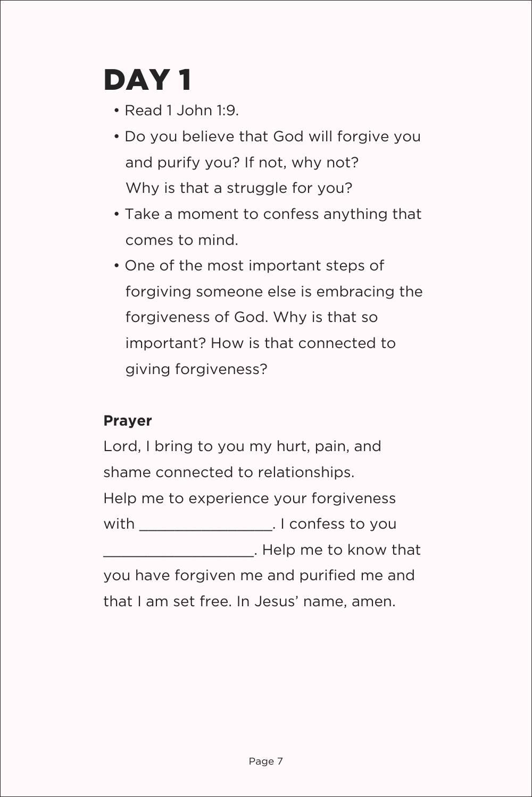## DAY 1

- Read 1 John 1:9.
- Do you believe that God will forgive you and purify you? If not, why not? Why is that a struggle for you?
- Take a moment to confess anything that comes to mind.
- One of the most important steps of forgiving someone else is embracing the forgiveness of God. Why is that so important? How is that connected to giving forgiveness?

#### **Prayer**

Lord, I bring to you my hurt, pain, and shame connected to relationships. Help me to experience your forgiveness with \_\_\_\_\_\_\_\_\_\_\_\_\_\_\_. I confess to you \_\_\_\_\_\_\_\_\_\_\_\_\_\_\_\_\_. Help me to know that you have forgiven me and purified me and that I am set free. In Jesus' name, amen.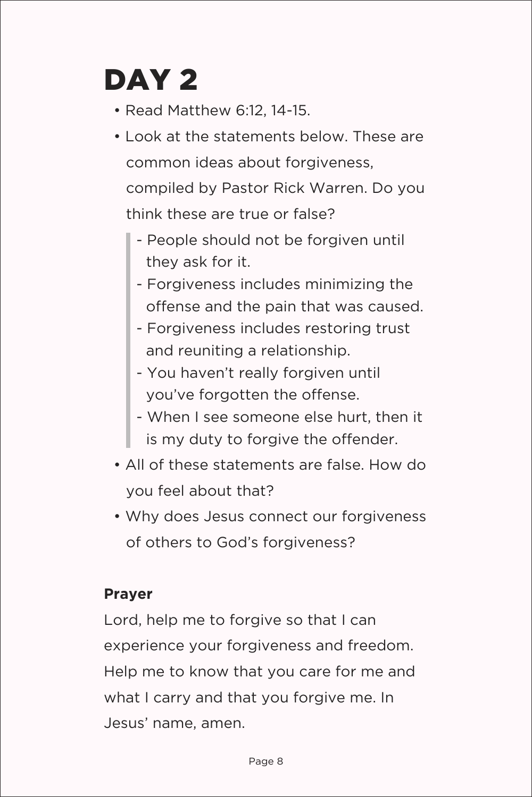# DAY 2

- Read Matthew 6:12, 14-15.
- Look at the statements below. These are common ideas about forgiveness, compiled by Pastor Rick Warren. Do you think these are true or false?
	- People should not be forgiven until they ask for it.
	- Forgiveness includes minimizing the offense and the pain that was caused.
	- Forgiveness includes restoring trust and reuniting a relationship.
	- You haven't really forgiven until you've forgotten the offense.
	- When I see someone else hurt, then it is my duty to forgive the offender.
- All of these statements are false. How do you feel about that?
- Why does Jesus connect our forgiveness of others to God's forgiveness?

#### **Prayer**

Lord, help me to forgive so that I can experience your forgiveness and freedom. Help me to know that you care for me and what I carry and that you forgive me. In Jesus' name, amen.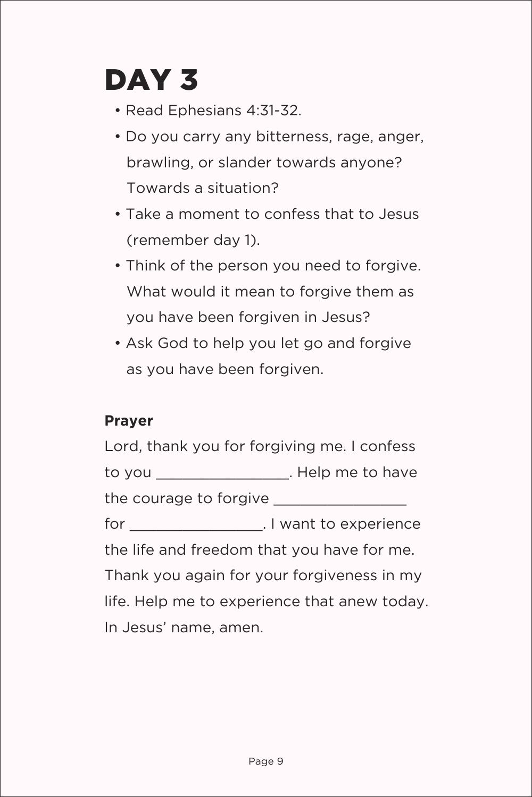### DAY 3

- Read Ephesians 4:31-32.
- Do you carry any bitterness, rage, anger, brawling, or slander towards anyone? Towards a situation?
- Take a moment to confess that to Jesus (remember day 1).
- Think of the person you need to forgive. What would it mean to forgive them as you have been forgiven in Jesus?
- Ask God to help you let go and forgive as you have been forgiven.

#### **Prayer**

Lord, thank you for forgiving me. I confess to you contract the set of the Help me to have the courage to forgive \_\_\_\_\_\_\_\_\_\_\_\_\_\_\_ for \_\_\_\_\_\_\_\_\_\_\_\_\_\_\_\_\_\_. I want to experience the life and freedom that you have for me. Thank you again for your forgiveness in my life. Help me to experience that anew today. In Jesus' name, amen.